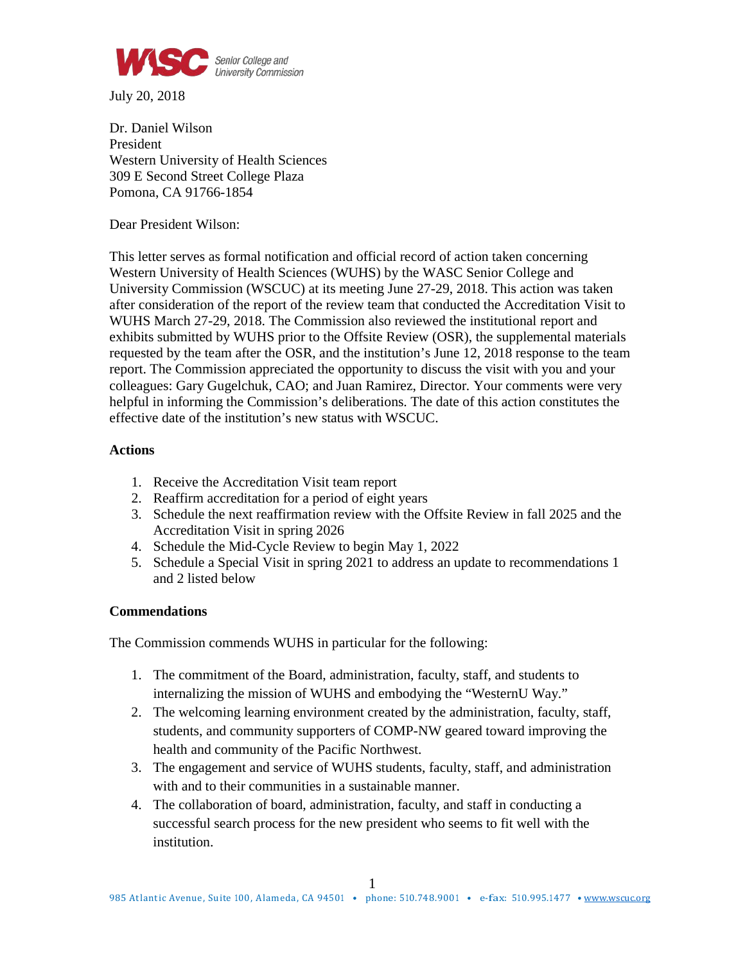

July 20, 2018

Dr. Daniel Wilson President Western University of Health Sciences 309 E Second Street College Plaza Pomona, CA 91766-1854

Dear President Wilson:

This letter serves as formal notification and official record of action taken concerning Western University of Health Sciences (WUHS) by the WASC Senior College and University Commission (WSCUC) at its meeting June 27-29, 2018. This action was taken after consideration of the report of the review team that conducted the Accreditation Visit to WUHS March 27-29, 2018. The Commission also reviewed the institutional report and exhibits submitted by WUHS prior to the Offsite Review (OSR), the supplemental materials requested by the team after the OSR, and the institution's June 12, 2018 response to the team report. The Commission appreciated the opportunity to discuss the visit with you and your colleagues: Gary Gugelchuk, CAO; and Juan Ramirez, Director*.* Your comments were very helpful in informing the Commission's deliberations. The date of this action constitutes the effective date of the institution's new status with WSCUC.

## **Actions**

- 1. Receive the Accreditation Visit team report
- 2. Reaffirm accreditation for a period of eight years
- 3. Schedule the next reaffirmation review with the Offsite Review in fall 2025 and the Accreditation Visit in spring 2026
- 4. Schedule the Mid-Cycle Review to begin May 1, 2022
- 5. Schedule a Special Visit in spring 2021 to address an update to recommendations 1 and 2 listed below

## **Commendations**

The Commission commends WUHS in particular for the following:

- 1. The commitment of the Board, administration, faculty, staff, and students to internalizing the mission of WUHS and embodying the "WesternU Way."
- 2. The welcoming learning environment created by the administration, faculty, staff, students, and community supporters of COMP-NW geared toward improving the health and community of the Pacific Northwest.
- 3. The engagement and service of WUHS students, faculty, staff, and administration with and to their communities in a sustainable manner.
- 4. The collaboration of board, administration, faculty, and staff in conducting a successful search process for the new president who seems to fit well with the institution.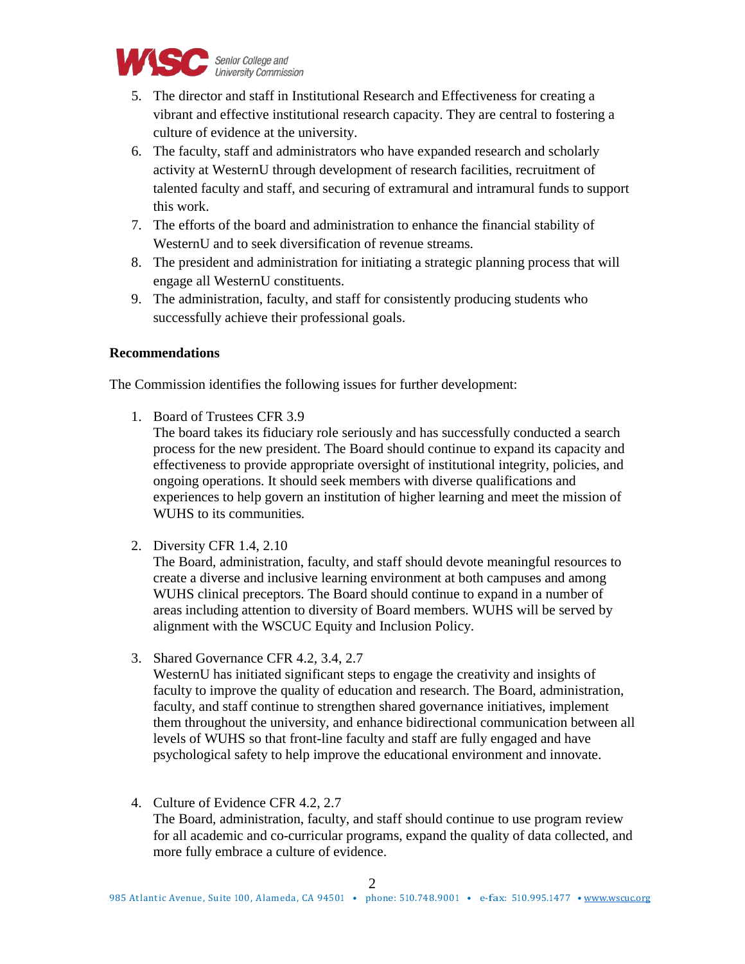

- 5. The director and staff in Institutional Research and Effectiveness for creating a vibrant and effective institutional research capacity. They are central to fostering a culture of evidence at the university.
- 6. The faculty, staff and administrators who have expanded research and scholarly activity at WesternU through development of research facilities, recruitment of talented faculty and staff, and securing of extramural and intramural funds to support this work.
- 7. The efforts of the board and administration to enhance the financial stability of WesternU and to seek diversification of revenue streams.
- 8. The president and administration for initiating a strategic planning process that will engage all WesternU constituents.
- 9. The administration, faculty, and staff for consistently producing students who successfully achieve their professional goals.

## **Recommendations**

The Commission identifies the following issues for further development:

- 1. Board of Trustees CFR 3.9
	- The board takes its fiduciary role seriously and has successfully conducted a search process for the new president. The Board should continue to expand its capacity and effectiveness to provide appropriate oversight of institutional integrity, policies, and ongoing operations. It should seek members with diverse qualifications and experiences to help govern an institution of higher learning and meet the mission of WUHS to its communities.
- 2. Diversity CFR 1.4, 2.10

The Board, administration, faculty, and staff should devote meaningful resources to create a diverse and inclusive learning environment at both campuses and among WUHS clinical preceptors. The Board should continue to expand in a number of areas including attention to diversity of Board members. WUHS will be served by alignment with the WSCUC Equity and Inclusion Policy.

3. Shared Governance CFR 4.2, 3.4, 2.7

WesternU has initiated significant steps to engage the creativity and insights of faculty to improve the quality of education and research. The Board, administration, faculty, and staff continue to strengthen shared governance initiatives, implement them throughout the university, and enhance bidirectional communication between all levels of WUHS so that front-line faculty and staff are fully engaged and have psychological safety to help improve the educational environment and innovate.

4. Culture of Evidence CFR 4.2, 2.7 The Board, administration, faculty, and staff should continue to use program review for all academic and co-curricular programs, expand the quality of data collected, and more fully embrace a culture of evidence.